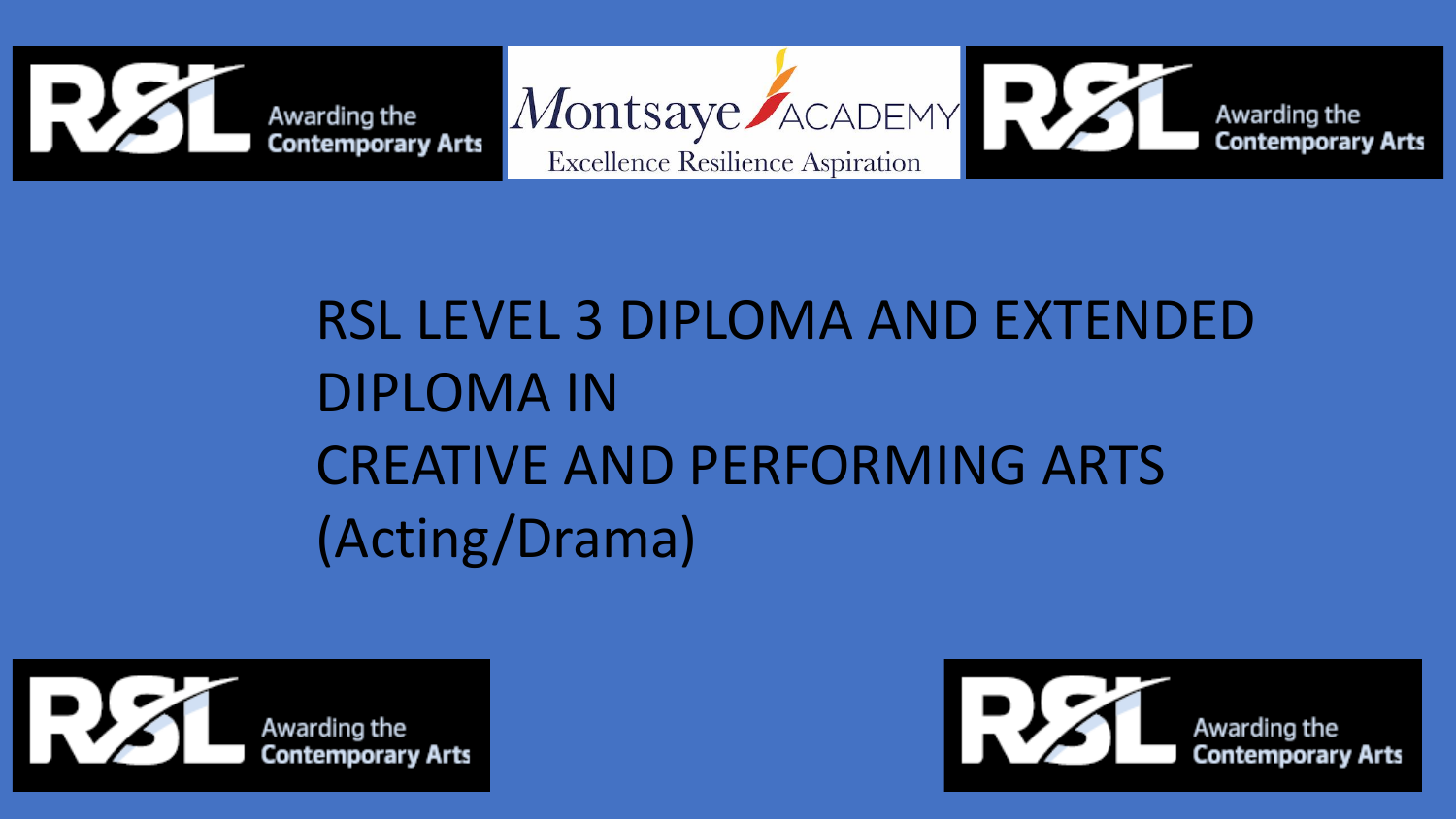



## RSL LEVEL 3 DIPLOMA AND EXTENDED DIPLOMA IN CREATIVE AND PERFORMING ARTS (Acting/Drama)



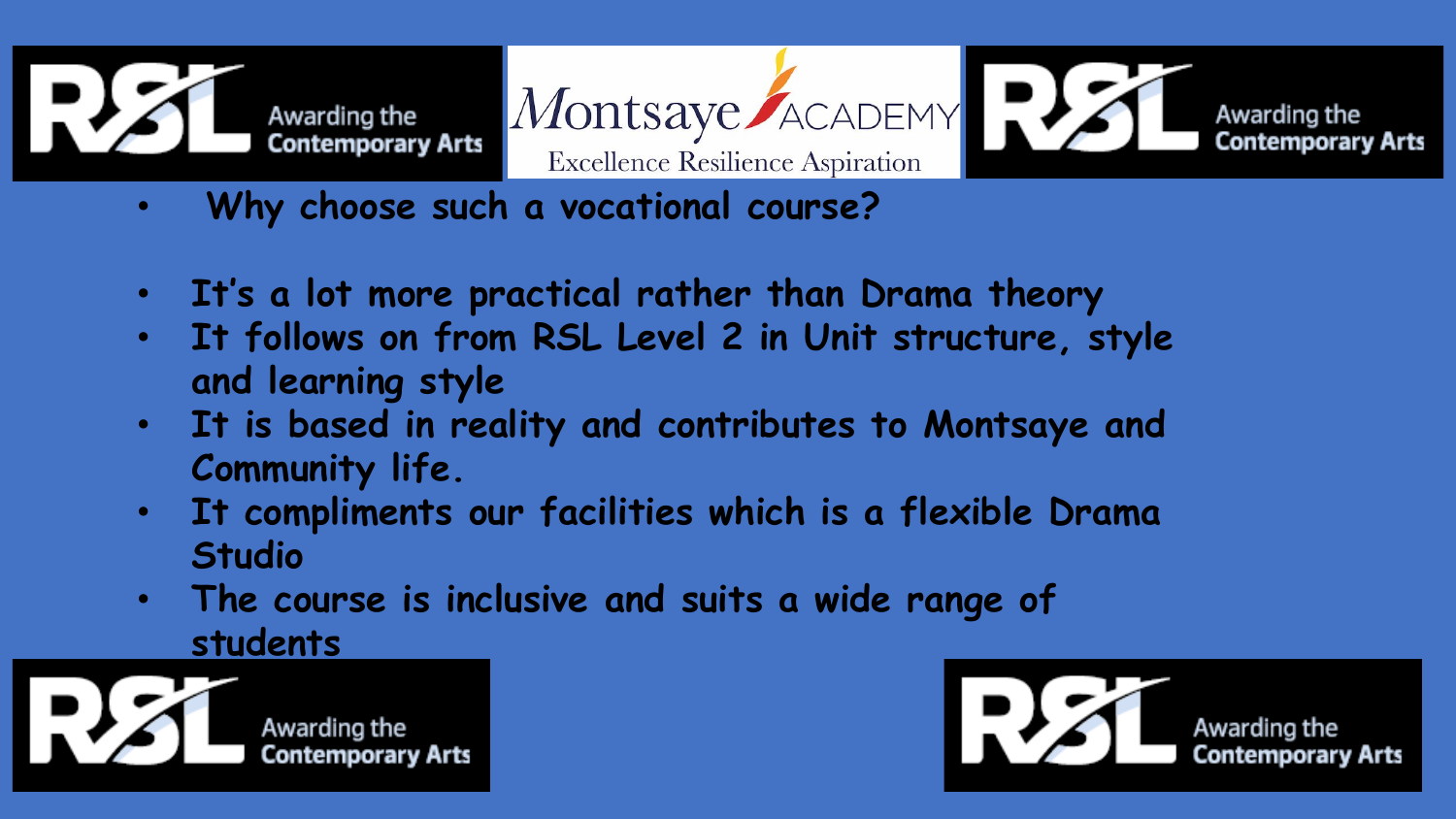

Montsaye ACADEMY PUS

**Excellence Resilience Aspiration** 

- **Why choose such a vocational course?**
- **It's a lot more practical rather than Drama theory**
- **It follows on from RSL Level 2 in Unit structure, style and learning style**
- **It is based in reality and contributes to Montsaye and Community life.**
- **It compliments our facilities which is a flexible Drama Studio**
- **The course is inclusive and suits a wide range of students**





Awarding the<br>Contemporary Arts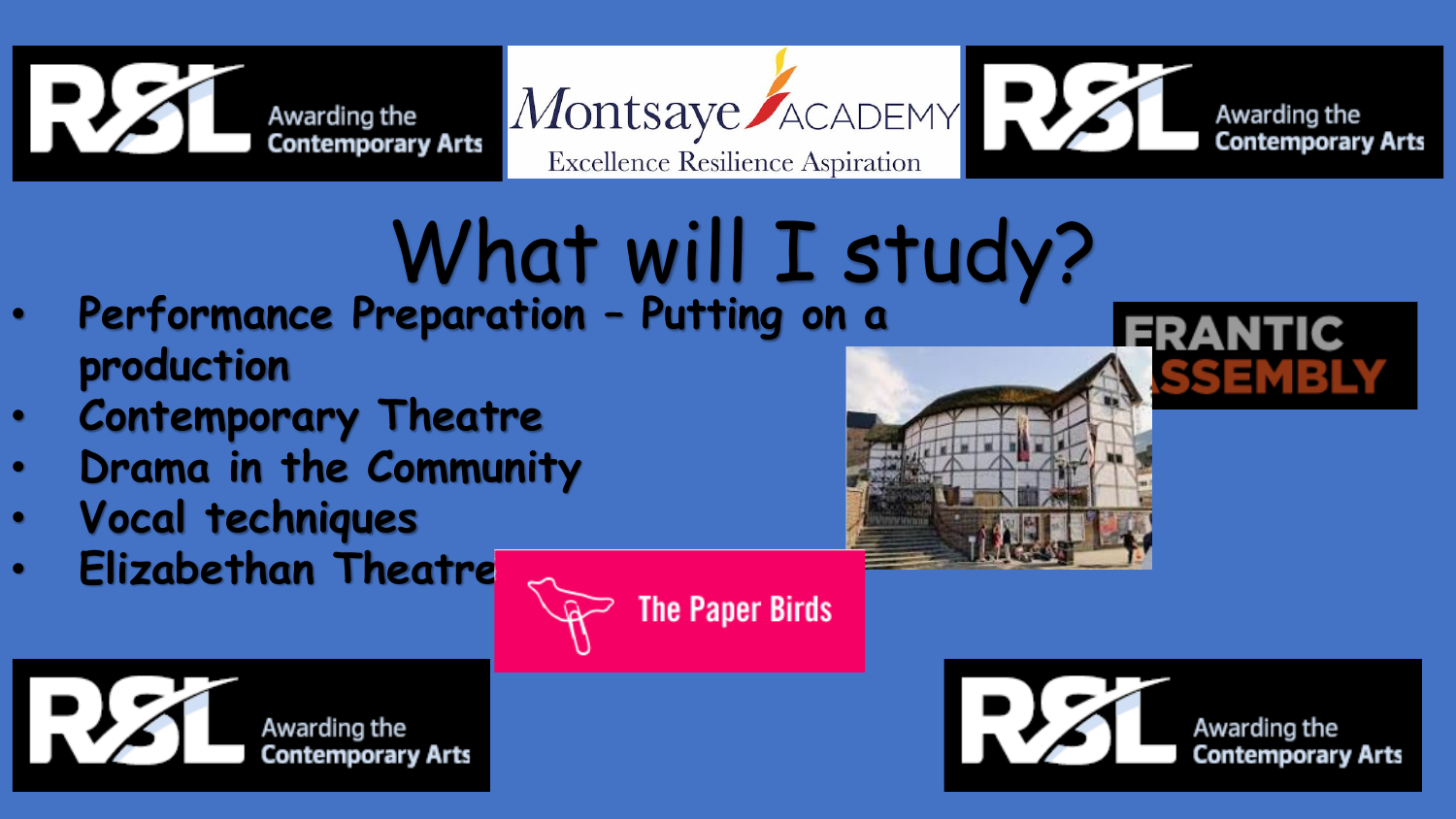





## What will I study?

- **Performance Preparation – Putting on a production**
- **Contemporary Theatre**
- **Drama in the Community**
- **Vocal techniques**
- **Elizabethan Theatre**







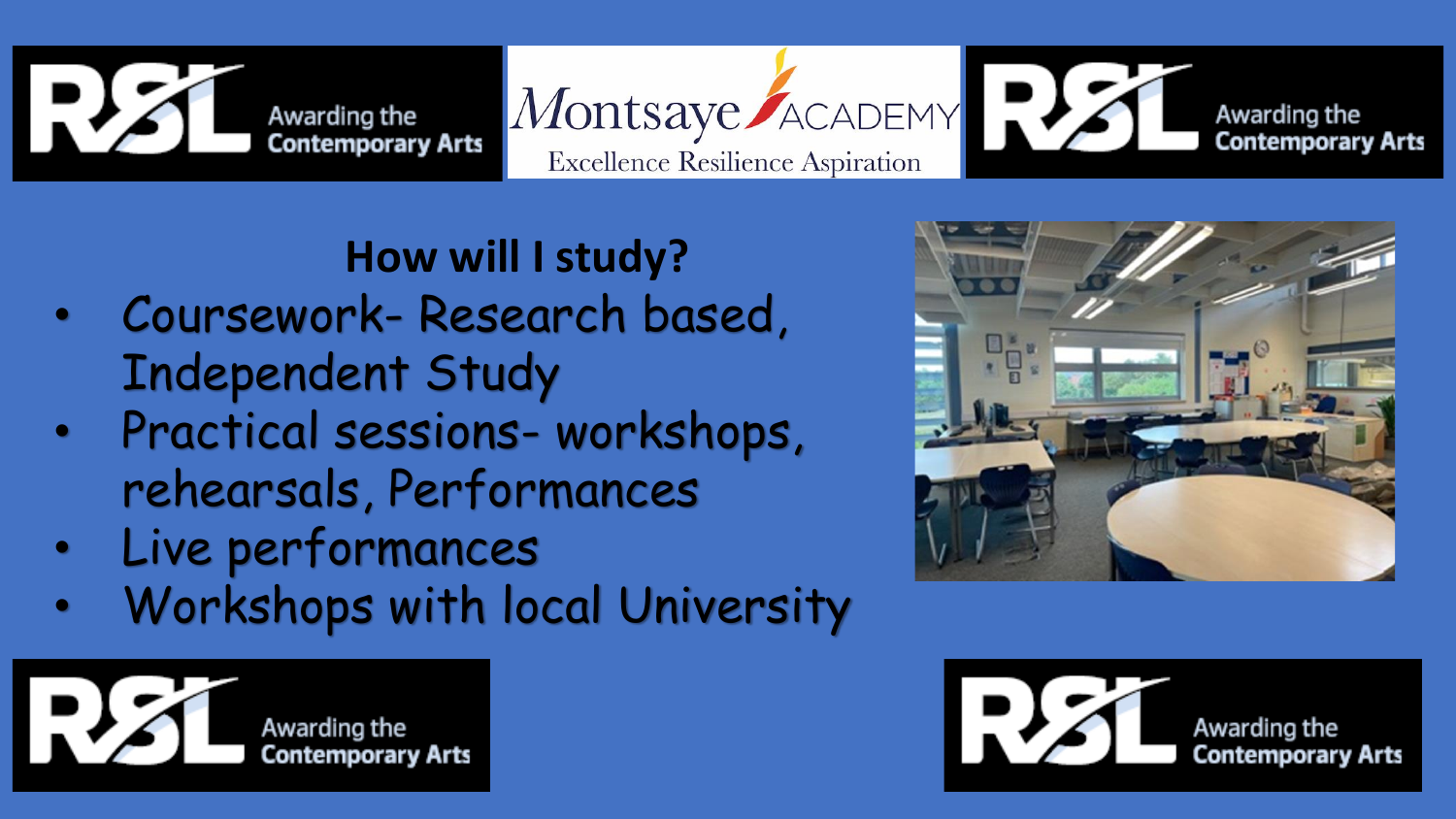

Montsaye ACADEMY P Awarding the **Contemporary Arts Excellence Resilience Aspiration** 

## **How will I study?**

- Coursework- Research based, Independent Study
- Practical sessions- workshops, rehearsals, Performances
- Live performances
- Workshops with local University





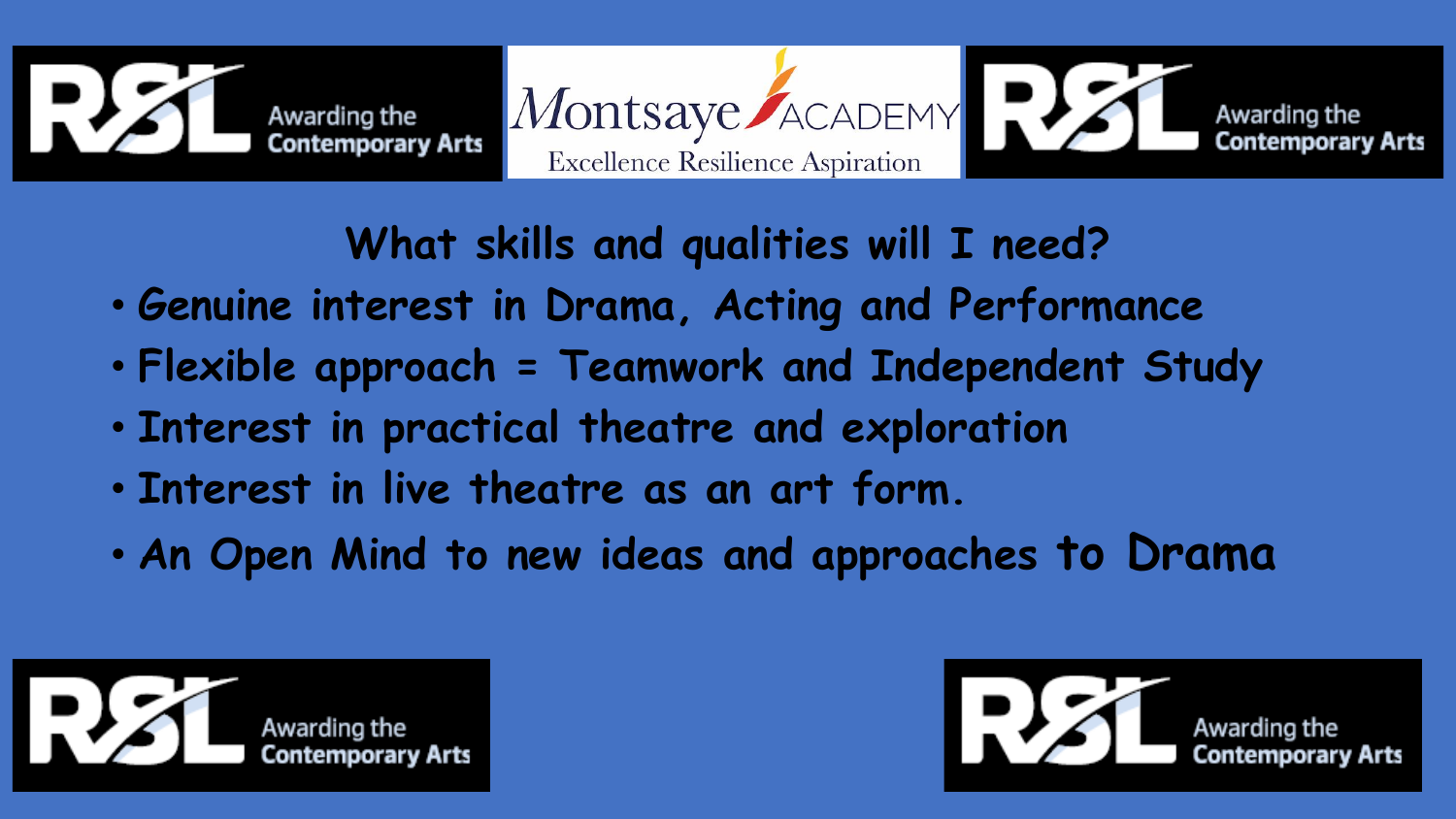



**What skills and qualities will I need?**

- **Genuine interest in Drama, Acting and Performance**
- **Flexible approach = Teamwork and Independent Study**
- **Interest in practical theatre and exploration**
- **Interest in live theatre as an art form.**
- **An Open Mind to new ideas and approaches to Drama**